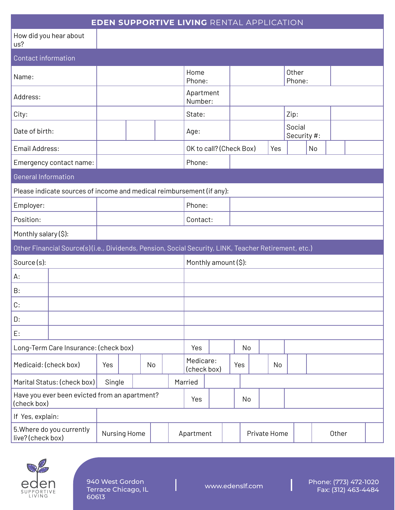| <b>EDEN SUPPORTIVE LIVING RENTAL APPLICATION</b>                                                     |              |  |         |           |                          |    |              |     |  |     |                       |       |  |  |  |
|------------------------------------------------------------------------------------------------------|--------------|--|---------|-----------|--------------------------|----|--------------|-----|--|-----|-----------------------|-------|--|--|--|
| How did you hear about<br>us?                                                                        |              |  |         |           |                          |    |              |     |  |     |                       |       |  |  |  |
| <b>Contact information</b>                                                                           |              |  |         |           |                          |    |              |     |  |     |                       |       |  |  |  |
| Name:                                                                                                |              |  |         |           | Home<br>Phone:           |    |              |     |  |     | Other<br>Phone:       |       |  |  |  |
| Address:                                                                                             |              |  |         |           | Apartment<br>Number:     |    |              |     |  |     |                       |       |  |  |  |
| City:                                                                                                |              |  |         |           | State:                   |    |              |     |  |     | Zip:                  |       |  |  |  |
| Date of birth:                                                                                       |              |  |         |           | Age:                     |    |              |     |  |     | Social<br>Security #: |       |  |  |  |
| Email Address:                                                                                       |              |  |         |           | OK to call? (Check Box)  |    |              |     |  | Yes |                       | No    |  |  |  |
| Emergency contact name:                                                                              |              |  |         |           | Phone:                   |    |              |     |  |     |                       |       |  |  |  |
| <b>General Information</b>                                                                           |              |  |         |           |                          |    |              |     |  |     |                       |       |  |  |  |
| Please indicate sources of income and medical reimbursement (if any):                                |              |  |         |           |                          |    |              |     |  |     |                       |       |  |  |  |
| Employer:                                                                                            |              |  |         | Phone:    |                          |    |              |     |  |     |                       |       |  |  |  |
| Position:                                                                                            |              |  |         | Contact:  |                          |    |              |     |  |     |                       |       |  |  |  |
| Monthly salary (\$):                                                                                 |              |  |         |           |                          |    |              |     |  |     |                       |       |  |  |  |
| Other Financial Source(s)(i.e., Dividends, Pension, Social Security, LINK, Teacher Retirement, etc.) |              |  |         |           |                          |    |              |     |  |     |                       |       |  |  |  |
| Source(s):                                                                                           |              |  |         |           | Monthly amount (\$):     |    |              |     |  |     |                       |       |  |  |  |
| А:                                                                                                   |              |  |         |           |                          |    |              |     |  |     |                       |       |  |  |  |
| B:                                                                                                   |              |  |         |           |                          |    |              |     |  |     |                       |       |  |  |  |
| C:                                                                                                   |              |  |         |           |                          |    |              |     |  |     |                       |       |  |  |  |
| D:                                                                                                   |              |  |         |           |                          |    |              |     |  |     |                       |       |  |  |  |
| E:                                                                                                   |              |  |         |           |                          |    |              |     |  |     |                       |       |  |  |  |
| Long-Term Care Insurance: (check box)                                                                |              |  |         | Yes       |                          |    | No           |     |  |     |                       |       |  |  |  |
| Medicaid: (check box)                                                                                | Yes          |  | No      |           | Medicare:<br>(check box) |    |              | Yes |  | No  |                       |       |  |  |  |
| Marital Status: (check box)<br>Single                                                                |              |  | Married |           |                          |    |              |     |  |     |                       |       |  |  |  |
| Have you ever been evicted from an apartment?<br>(check box)                                         |              |  | Yes     |           |                          | No |              |     |  |     |                       |       |  |  |  |
| If Yes, explain:                                                                                     |              |  |         |           |                          |    |              |     |  |     |                       |       |  |  |  |
| 5. Where do you currently<br>live? (check box)                                                       | Nursing Home |  |         | Apartment |                          |    | Private Home |     |  |     |                       | Other |  |  |  |



940 West Gordon Terrace Chicago, IL 60613

Ī

Phone: (773) 472-1020 Fax: (312) 463-4484 [www.edenslf.com](https://www.edenslf.com/)